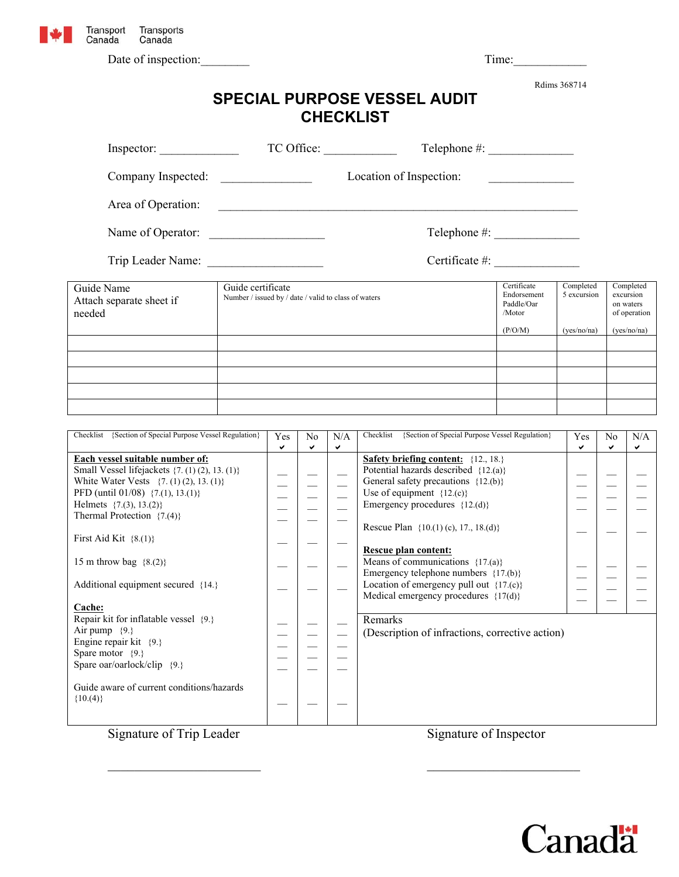

Date of inspection: Time:

Rdims 368714

| <b>SPECIAL PURPOSE VESSEL AUDIT</b> |
|-------------------------------------|
| <b>CHECKLIST</b>                    |

| Inspector:                                                                                                                                                                                                                                                                                    | TC Office:                                                                                                                                                         |          |                                |               | Telephone $#$ :                                                                                                                                                                            |                          |                                                     |                     |             |  |
|-----------------------------------------------------------------------------------------------------------------------------------------------------------------------------------------------------------------------------------------------------------------------------------------------|--------------------------------------------------------------------------------------------------------------------------------------------------------------------|----------|--------------------------------|---------------|--------------------------------------------------------------------------------------------------------------------------------------------------------------------------------------------|--------------------------|-----------------------------------------------------|---------------------|-------------|--|
| Company Inspected:                                                                                                                                                                                                                                                                            | Location of Inspection:<br>$\begin{aligned} \mathcal{L}_{\text{max}}(\mathcal{L}_{\text{max}}) = \mathcal{L}_{\text{max}}(\mathcal{L}_{\text{max}}) \end{aligned}$ |          |                                |               |                                                                                                                                                                                            |                          |                                                     |                     |             |  |
| Area of Operation:                                                                                                                                                                                                                                                                            |                                                                                                                                                                    |          |                                |               |                                                                                                                                                                                            |                          |                                                     |                     |             |  |
| Name of Operator:                                                                                                                                                                                                                                                                             |                                                                                                                                                                    |          |                                |               |                                                                                                                                                                                            |                          |                                                     |                     |             |  |
|                                                                                                                                                                                                                                                                                               |                                                                                                                                                                    |          |                                |               | Certificate #: $\qquad \qquad$                                                                                                                                                             |                          |                                                     |                     |             |  |
| Guide Name<br>Attach separate sheet if<br>needed                                                                                                                                                                                                                                              | Guide certificate<br>Number / issued by / date / valid to class of waters                                                                                          |          |                                |               | Certificate<br>Endorsement<br>Paddle/Oar<br>/Motor                                                                                                                                         | Completed<br>5 excursion | Completed<br>excursion<br>on waters<br>of operation |                     |             |  |
|                                                                                                                                                                                                                                                                                               |                                                                                                                                                                    | (P/O/M)  |                                |               |                                                                                                                                                                                            |                          |                                                     |                     | (ves/no/na) |  |
|                                                                                                                                                                                                                                                                                               |                                                                                                                                                                    |          |                                |               |                                                                                                                                                                                            |                          |                                                     |                     |             |  |
|                                                                                                                                                                                                                                                                                               |                                                                                                                                                                    |          |                                |               |                                                                                                                                                                                            |                          |                                                     |                     |             |  |
|                                                                                                                                                                                                                                                                                               |                                                                                                                                                                    |          |                                |               |                                                                                                                                                                                            |                          |                                                     |                     |             |  |
|                                                                                                                                                                                                                                                                                               |                                                                                                                                                                    |          |                                |               |                                                                                                                                                                                            |                          |                                                     |                     |             |  |
| Checklist {Section of Special Purpose Vessel Regulation}                                                                                                                                                                                                                                      |                                                                                                                                                                    | Yes<br>✓ | N <sub>0</sub><br>$\checkmark$ | N/A<br>✓      | Checklist {Section of Special Purpose Vessel Regulation}                                                                                                                                   |                          | Yes<br>✓                                            | N <sub>0</sub><br>✓ | N/A<br>✓    |  |
| Each vessel suitable number of:<br>Small Vessel lifejackets {7. (1) (2), 13. (1)}<br>White Water Vests {7. (1) (2), 13. (1)}<br>PFD (until 01/08) {7.(1), 13.(1)}<br>Helmets $\{7.(3), 13.(2)\}$<br>Thermal Protection $\{7.(4)\}$<br>First Aid Kit $\{8.(1)\}$<br>15 m throw bag $\{8.(2)\}$ |                                                                                                                                                                    |          | $\overline{\phantom{0}}$       | $\frac{1}{1}$ | <b>Safety briefing content:</b> {12, 18.}<br>Potential hazards described {12.(a)}<br>General safety precautions {12.(b)}<br>Use of equipment ${12.(c)}$<br>Emergency procedures ${12.(d)}$ |                          |                                                     |                     |             |  |
|                                                                                                                                                                                                                                                                                               |                                                                                                                                                                    |          |                                |               | Rescue Plan {10.(1) (c), 17., 18.(d)}                                                                                                                                                      |                          |                                                     |                     |             |  |
|                                                                                                                                                                                                                                                                                               |                                                                                                                                                                    |          |                                |               | Rescue plan content:<br>Means of communications $\{17(a)\}$<br>Emergency telephone numbers {17.(b)}                                                                                        |                          |                                                     |                     |             |  |
| Additional equipment secured {14.}<br>$\Gamma$ oobor                                                                                                                                                                                                                                          |                                                                                                                                                                    |          |                                |               | Location of emergency pull out $\{17(c)\}$<br>Medical emergency procedures $\{17(d)\}$                                                                                                     |                          |                                                     |                     |             |  |

| Cache:                                                |  |
|-------------------------------------------------------|--|
| Repair kit for inflatable vessel {9.}                 |  |
| Air pump $\{9.\}$                                     |  |
| Engine repair kit $\{9.\}$                            |  |
| Spare motor $\{9.\}$                                  |  |
| Spare oar/oarlock/clip $\{9.\}$                       |  |
|                                                       |  |
| Guide aware of current conditions/hazards<br>${10.4}$ |  |

 $\mathcal{L}=\mathcal{L}$ 

 $\mathcal{L}=\mathcal{L}$ 

 $\mathcal{L}=\mathcal{L}$ 

 $\mathcal{L}_\text{max}$  , and the contract of the contract of the contract of the contract of the contract of the contract of the contract of the contract of the contract of the contract of the contract of the contract of the contr

Remarks

(Description of infractions, corrective action)



Signature of Trip Leader Signature of Inspector